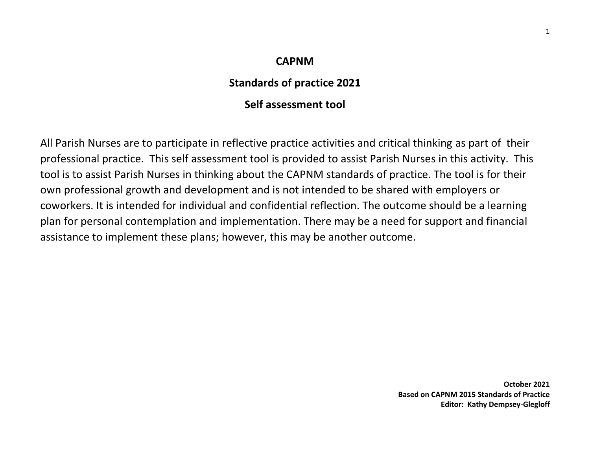# **CAPNM**

# **Standards of practice 2021**

# **Self assessment tool**

All Parish Nurses are to participate in reflective practice activities and critical thinking as part of their professional practice. This self assessment tool is provided to assist Parish Nurses in this activity. This tool is to assist Parish Nurses in thinking about the CAPNM standards of practice. The tool is for their own professional growth and development and is not intended to be shared with employers or coworkers. It is intended for individual and confidential reflection. The outcome should be a learning plan for personal contemplation and implementation. There may be a need for support and financial assistance to implement these plans; however, this may be another outcome.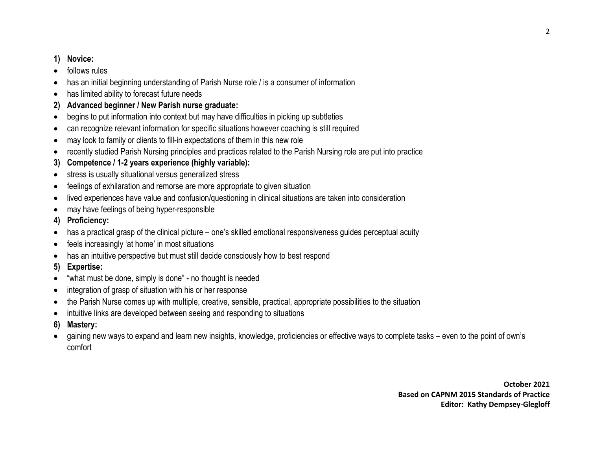## **1) Novice:**

- follows rules
- has an initial beginning understanding of Parish Nurse role / is a consumer of information
- has limited ability to forecast future needs
- **2) Advanced beginner / New Parish nurse graduate:**
- begins to put information into context but may have difficulties in picking up subtleties
- can recognize relevant information for specific situations however coaching is still required
- may look to family or clients to fill-in expectations of them in this new role
- recently studied Parish Nursing principles and practices related to the Parish Nursing role are put into practice
- **3) Competence / 1-2 years experience (highly variable):**
- stress is usually situational versus generalized stress
- feelings of exhilaration and remorse are more appropriate to given situation
- lived experiences have value and confusion/questioning in clinical situations are taken into consideration
- may have feelings of being hyper-responsible
- **4) Proficiency:**
- has a practical grasp of the clinical picture one's skilled emotional responsiveness guides perceptual acuity
- feels increasingly 'at home' in most situations
- has an intuitive perspective but must still decide consciously how to best respond
- **5) Expertise:**
- "what must be done, simply is done" no thought is needed
- integration of grasp of situation with his or her response
- the Parish Nurse comes up with multiple, creative, sensible, practical, appropriate possibilities to the situation
- intuitive links are developed between seeing and responding to situations
- **6) Mastery:**
- gaining new ways to expand and learn new insights, knowledge, proficiencies or effective ways to complete tasks even to the point of own's comfort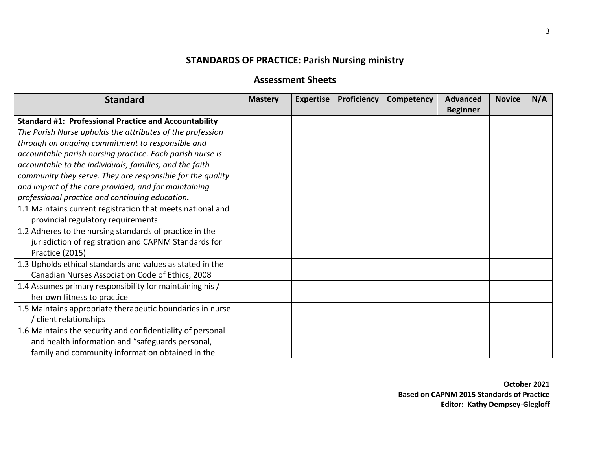# **STANDARDS OF PRACTICE: Parish Nursing ministry**

# **Assessment Sheets**

| <b>Standard</b>                                              | <b>Mastery</b> | <b>Expertise</b> | Proficiency | Competency | <b>Advanced</b><br><b>Beginner</b> | <b>Novice</b> | N/A |
|--------------------------------------------------------------|----------------|------------------|-------------|------------|------------------------------------|---------------|-----|
| <b>Standard #1: Professional Practice and Accountability</b> |                |                  |             |            |                                    |               |     |
| The Parish Nurse upholds the attributes of the profession    |                |                  |             |            |                                    |               |     |
| through an ongoing commitment to responsible and             |                |                  |             |            |                                    |               |     |
| accountable parish nursing practice. Each parish nurse is    |                |                  |             |            |                                    |               |     |
| accountable to the individuals, families, and the faith      |                |                  |             |            |                                    |               |     |
| community they serve. They are responsible for the quality   |                |                  |             |            |                                    |               |     |
| and impact of the care provided, and for maintaining         |                |                  |             |            |                                    |               |     |
| professional practice and continuing education.              |                |                  |             |            |                                    |               |     |
| 1.1 Maintains current registration that meets national and   |                |                  |             |            |                                    |               |     |
| provincial regulatory requirements                           |                |                  |             |            |                                    |               |     |
| 1.2 Adheres to the nursing standards of practice in the      |                |                  |             |            |                                    |               |     |
| jurisdiction of registration and CAPNM Standards for         |                |                  |             |            |                                    |               |     |
| Practice (2015)                                              |                |                  |             |            |                                    |               |     |
| 1.3 Upholds ethical standards and values as stated in the    |                |                  |             |            |                                    |               |     |
| Canadian Nurses Association Code of Ethics, 2008             |                |                  |             |            |                                    |               |     |
| 1.4 Assumes primary responsibility for maintaining his /     |                |                  |             |            |                                    |               |     |
| her own fitness to practice                                  |                |                  |             |            |                                    |               |     |
| 1.5 Maintains appropriate therapeutic boundaries in nurse    |                |                  |             |            |                                    |               |     |
| client relationships                                         |                |                  |             |            |                                    |               |     |
| 1.6 Maintains the security and confidentiality of personal   |                |                  |             |            |                                    |               |     |
| and health information and "safeguards personal,             |                |                  |             |            |                                    |               |     |
| family and community information obtained in the             |                |                  |             |            |                                    |               |     |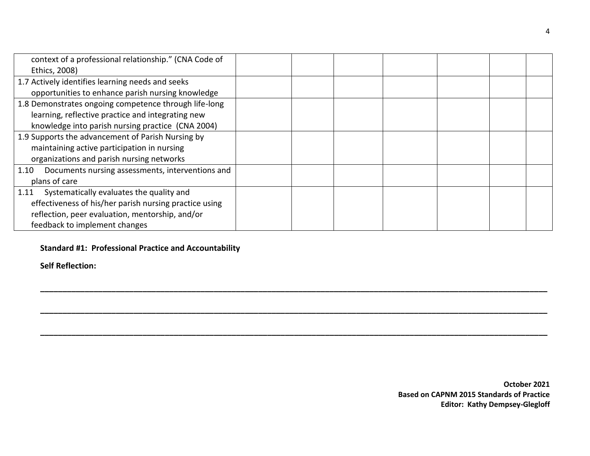| context of a professional relationship." (CNA Code of    |  |  |  |  |
|----------------------------------------------------------|--|--|--|--|
| Ethics, 2008)                                            |  |  |  |  |
| 1.7 Actively identifies learning needs and seeks         |  |  |  |  |
| opportunities to enhance parish nursing knowledge        |  |  |  |  |
| 1.8 Demonstrates ongoing competence through life-long    |  |  |  |  |
| learning, reflective practice and integrating new        |  |  |  |  |
| knowledge into parish nursing practice (CNA 2004)        |  |  |  |  |
| 1.9 Supports the advancement of Parish Nursing by        |  |  |  |  |
| maintaining active participation in nursing              |  |  |  |  |
| organizations and parish nursing networks                |  |  |  |  |
| Documents nursing assessments, interventions and<br>1.10 |  |  |  |  |
| plans of care                                            |  |  |  |  |
| Systematically evaluates the quality and<br>1.11         |  |  |  |  |
| effectiveness of his/her parish nursing practice using   |  |  |  |  |
| reflection, peer evaluation, mentorship, and/or          |  |  |  |  |
| feedback to implement changes                            |  |  |  |  |

**\_\_\_\_\_\_\_\_\_\_\_\_\_\_\_\_\_\_\_\_\_\_\_\_\_\_\_\_\_\_\_\_\_\_\_\_\_\_\_\_\_\_\_\_\_\_\_\_\_\_\_\_\_\_\_\_\_\_\_\_\_\_\_\_\_\_\_\_\_\_\_\_\_\_\_\_\_\_\_\_\_\_\_\_\_\_\_\_\_\_\_\_\_\_\_\_\_\_\_\_\_\_\_\_\_\_\_\_\_\_\_\_\_\_**

**\_\_\_\_\_\_\_\_\_\_\_\_\_\_\_\_\_\_\_\_\_\_\_\_\_\_\_\_\_\_\_\_\_\_\_\_\_\_\_\_\_\_\_\_\_\_\_\_\_\_\_\_\_\_\_\_\_\_\_\_\_\_\_\_\_\_\_\_\_\_\_\_\_\_\_\_\_\_\_\_\_\_\_\_\_\_\_\_\_\_\_\_\_\_\_\_\_\_\_\_\_\_\_\_\_\_\_\_\_\_\_\_\_\_**

## **Standard #1: Professional Practice and Accountability**

**Self Reflection:**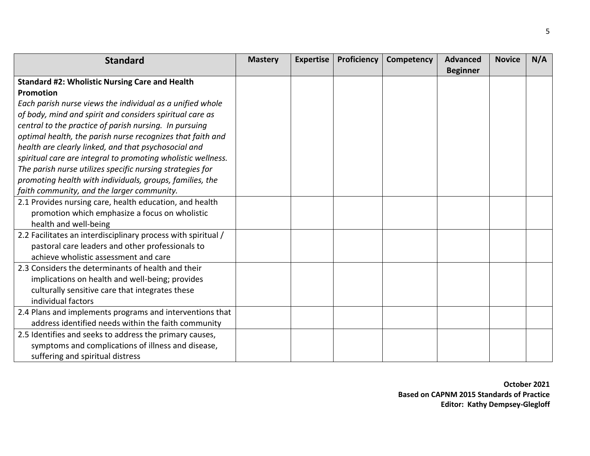| <b>Standard</b>                                               | <b>Mastery</b> | <b>Expertise</b> | Proficiency | Competency | <b>Advanced</b><br><b>Beginner</b> | <b>Novice</b> | N/A |
|---------------------------------------------------------------|----------------|------------------|-------------|------------|------------------------------------|---------------|-----|
| <b>Standard #2: Wholistic Nursing Care and Health</b>         |                |                  |             |            |                                    |               |     |
| Promotion                                                     |                |                  |             |            |                                    |               |     |
| Each parish nurse views the individual as a unified whole     |                |                  |             |            |                                    |               |     |
| of body, mind and spirit and considers spiritual care as      |                |                  |             |            |                                    |               |     |
| central to the practice of parish nursing. In pursuing        |                |                  |             |            |                                    |               |     |
| optimal health, the parish nurse recognizes that faith and    |                |                  |             |            |                                    |               |     |
| health are clearly linked, and that psychosocial and          |                |                  |             |            |                                    |               |     |
| spiritual care are integral to promoting wholistic wellness.  |                |                  |             |            |                                    |               |     |
| The parish nurse utilizes specific nursing strategies for     |                |                  |             |            |                                    |               |     |
|                                                               |                |                  |             |            |                                    |               |     |
| promoting health with individuals, groups, families, the      |                |                  |             |            |                                    |               |     |
| faith community, and the larger community.                    |                |                  |             |            |                                    |               |     |
| 2.1 Provides nursing care, health education, and health       |                |                  |             |            |                                    |               |     |
| promotion which emphasize a focus on wholistic                |                |                  |             |            |                                    |               |     |
| health and well-being                                         |                |                  |             |            |                                    |               |     |
| 2.2 Facilitates an interdisciplinary process with spiritual / |                |                  |             |            |                                    |               |     |
| pastoral care leaders and other professionals to              |                |                  |             |            |                                    |               |     |
| achieve wholistic assessment and care                         |                |                  |             |            |                                    |               |     |
| 2.3 Considers the determinants of health and their            |                |                  |             |            |                                    |               |     |
| implications on health and well-being; provides               |                |                  |             |            |                                    |               |     |
| culturally sensitive care that integrates these               |                |                  |             |            |                                    |               |     |
| individual factors                                            |                |                  |             |            |                                    |               |     |
| 2.4 Plans and implements programs and interventions that      |                |                  |             |            |                                    |               |     |
| address identified needs within the faith community           |                |                  |             |            |                                    |               |     |
| 2.5 Identifies and seeks to address the primary causes,       |                |                  |             |            |                                    |               |     |
| symptoms and complications of illness and disease,            |                |                  |             |            |                                    |               |     |
| suffering and spiritual distress                              |                |                  |             |            |                                    |               |     |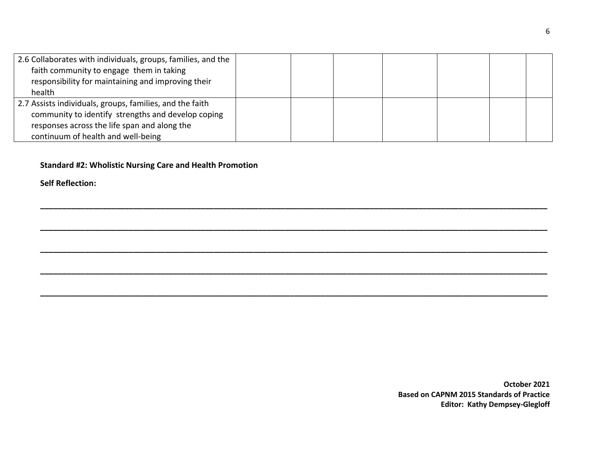| 2.6 Collaborates with individuals, groups, families, and the<br>faith community to engage them in taking<br>responsibility for maintaining and improving their<br>health                             |  |  |  |  |
|------------------------------------------------------------------------------------------------------------------------------------------------------------------------------------------------------|--|--|--|--|
| 2.7 Assists individuals, groups, families, and the faith<br>community to identify strengths and develop coping<br>responses across the life span and along the<br>continuum of health and well-being |  |  |  |  |

**\_\_\_\_\_\_\_\_\_\_\_\_\_\_\_\_\_\_\_\_\_\_\_\_\_\_\_\_\_\_\_\_\_\_\_\_\_\_\_\_\_\_\_\_\_\_\_\_\_\_\_\_\_\_\_\_\_\_\_\_\_\_\_\_\_\_\_\_\_\_\_\_\_\_\_\_\_\_\_\_\_\_\_\_\_\_\_\_\_\_\_\_\_\_\_\_\_\_\_\_\_\_\_\_\_\_\_\_\_\_\_\_\_\_**

**\_\_\_\_\_\_\_\_\_\_\_\_\_\_\_\_\_\_\_\_\_\_\_\_\_\_\_\_\_\_\_\_\_\_\_\_\_\_\_\_\_\_\_\_\_\_\_\_\_\_\_\_\_\_\_\_\_\_\_\_\_\_\_\_\_\_\_\_\_\_\_\_\_\_\_\_\_\_\_\_\_\_\_\_\_\_\_\_\_\_\_\_\_\_\_\_\_\_\_\_\_\_\_\_\_\_\_\_\_\_\_\_\_\_**

**\_\_\_\_\_\_\_\_\_\_\_\_\_\_\_\_\_\_\_\_\_\_\_\_\_\_\_\_\_\_\_\_\_\_\_\_\_\_\_\_\_\_\_\_\_\_\_\_\_\_\_\_\_\_\_\_\_\_\_\_\_\_\_\_\_\_\_\_\_\_\_\_\_\_\_\_\_\_\_\_\_\_\_\_\_\_\_\_\_\_\_\_\_\_\_\_\_\_\_\_\_\_\_\_\_\_\_\_\_\_\_\_\_\_**

**\_\_\_\_\_\_\_\_\_\_\_\_\_\_\_\_\_\_\_\_\_\_\_\_\_\_\_\_\_\_\_\_\_\_\_\_\_\_\_\_\_\_\_\_\_\_\_\_\_\_\_\_\_\_\_\_\_\_\_\_\_\_\_\_\_\_\_\_\_\_\_\_\_\_\_\_\_\_\_\_\_\_\_\_\_\_\_\_\_\_\_\_\_\_\_\_\_\_\_\_\_\_\_\_\_\_\_\_\_\_\_\_\_\_**

**Standard #2: Wholistic Nursing Care and Health Promotion**

**Self Reflection:**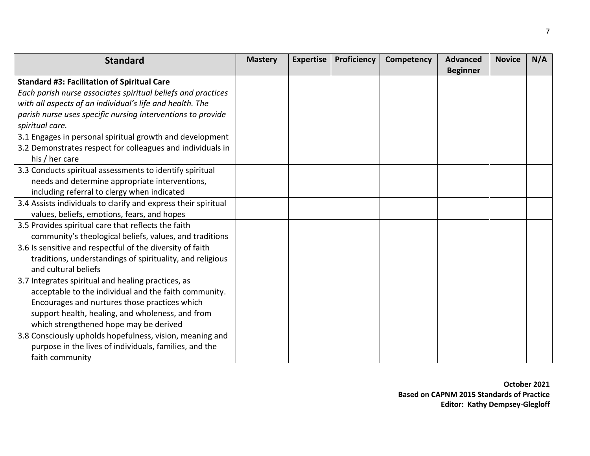| <b>Standard</b>                                                | <b>Mastery</b> | <b>Expertise</b> | Proficiency | Competency | <b>Advanced</b> | <b>Novice</b> | N/A |
|----------------------------------------------------------------|----------------|------------------|-------------|------------|-----------------|---------------|-----|
| <b>Standard #3: Facilitation of Spiritual Care</b>             |                |                  |             |            | <b>Beginner</b> |               |     |
| Each parish nurse associates spiritual beliefs and practices   |                |                  |             |            |                 |               |     |
| with all aspects of an individual's life and health. The       |                |                  |             |            |                 |               |     |
| parish nurse uses specific nursing interventions to provide    |                |                  |             |            |                 |               |     |
| spiritual care.                                                |                |                  |             |            |                 |               |     |
| 3.1 Engages in personal spiritual growth and development       |                |                  |             |            |                 |               |     |
| 3.2 Demonstrates respect for colleagues and individuals in     |                |                  |             |            |                 |               |     |
| his / her care                                                 |                |                  |             |            |                 |               |     |
| 3.3 Conducts spiritual assessments to identify spiritual       |                |                  |             |            |                 |               |     |
| needs and determine appropriate interventions,                 |                |                  |             |            |                 |               |     |
| including referral to clergy when indicated                    |                |                  |             |            |                 |               |     |
| 3.4 Assists individuals to clarify and express their spiritual |                |                  |             |            |                 |               |     |
| values, beliefs, emotions, fears, and hopes                    |                |                  |             |            |                 |               |     |
| 3.5 Provides spiritual care that reflects the faith            |                |                  |             |            |                 |               |     |
| community's theological beliefs, values, and traditions        |                |                  |             |            |                 |               |     |
| 3.6 Is sensitive and respectful of the diversity of faith      |                |                  |             |            |                 |               |     |
| traditions, understandings of spirituality, and religious      |                |                  |             |            |                 |               |     |
| and cultural beliefs                                           |                |                  |             |            |                 |               |     |
| 3.7 Integrates spiritual and healing practices, as             |                |                  |             |            |                 |               |     |
| acceptable to the individual and the faith community.          |                |                  |             |            |                 |               |     |
| Encourages and nurtures those practices which                  |                |                  |             |            |                 |               |     |
| support health, healing, and wholeness, and from               |                |                  |             |            |                 |               |     |
| which strengthened hope may be derived                         |                |                  |             |            |                 |               |     |
| 3.8 Consciously upholds hopefulness, vision, meaning and       |                |                  |             |            |                 |               |     |
| purpose in the lives of individuals, families, and the         |                |                  |             |            |                 |               |     |
| faith community                                                |                |                  |             |            |                 |               |     |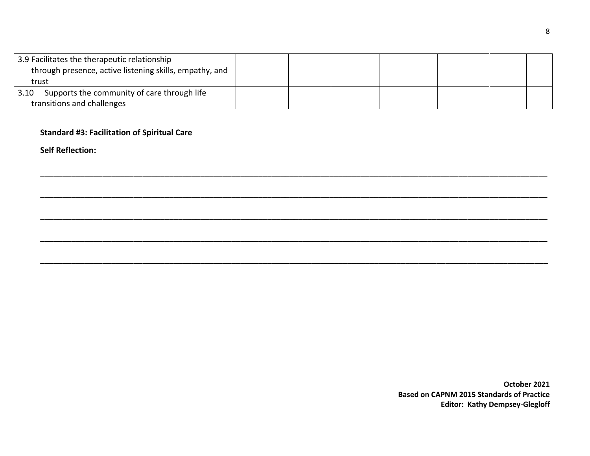| 3.9 Facilitates the therapeutic relationship<br>through presence, active listening skills, empathy, and |  |  |  |  |
|---------------------------------------------------------------------------------------------------------|--|--|--|--|
| trust                                                                                                   |  |  |  |  |
| Supports the community of care through life<br>3.10                                                     |  |  |  |  |
| transitions and challenges                                                                              |  |  |  |  |

**\_\_\_\_\_\_\_\_\_\_\_\_\_\_\_\_\_\_\_\_\_\_\_\_\_\_\_\_\_\_\_\_\_\_\_\_\_\_\_\_\_\_\_\_\_\_\_\_\_\_\_\_\_\_\_\_\_\_\_\_\_\_\_\_\_\_\_\_\_\_\_\_\_\_\_\_\_\_\_\_\_\_\_\_\_\_\_\_\_\_\_\_\_\_\_\_\_\_\_\_\_\_\_\_\_\_\_\_\_\_\_\_\_\_**

**\_\_\_\_\_\_\_\_\_\_\_\_\_\_\_\_\_\_\_\_\_\_\_\_\_\_\_\_\_\_\_\_\_\_\_\_\_\_\_\_\_\_\_\_\_\_\_\_\_\_\_\_\_\_\_\_\_\_\_\_\_\_\_\_\_\_\_\_\_\_\_\_\_\_\_\_\_\_\_\_\_\_\_\_\_\_\_\_\_\_\_\_\_\_\_\_\_\_\_\_\_\_\_\_\_\_\_\_\_\_\_\_\_\_**

**\_\_\_\_\_\_\_\_\_\_\_\_\_\_\_\_\_\_\_\_\_\_\_\_\_\_\_\_\_\_\_\_\_\_\_\_\_\_\_\_\_\_\_\_\_\_\_\_\_\_\_\_\_\_\_\_\_\_\_\_\_\_\_\_\_\_\_\_\_\_\_\_\_\_\_\_\_\_\_\_\_\_\_\_\_\_\_\_\_\_\_\_\_\_\_\_\_\_\_\_\_\_\_\_\_\_\_\_\_\_\_\_\_\_**

**\_\_\_\_\_\_\_\_\_\_\_\_\_\_\_\_\_\_\_\_\_\_\_\_\_\_\_\_\_\_\_\_\_\_\_\_\_\_\_\_\_\_\_\_\_\_\_\_\_\_\_\_\_\_\_\_\_\_\_\_\_\_\_\_\_\_\_\_\_\_\_\_\_\_\_\_\_\_\_\_\_\_\_\_\_\_\_\_\_\_\_\_\_\_\_\_\_\_\_\_\_\_\_\_\_\_\_\_\_\_\_\_\_\_**

### **Standard #3: Facilitation of Spiritual Care**

**Self Reflection:**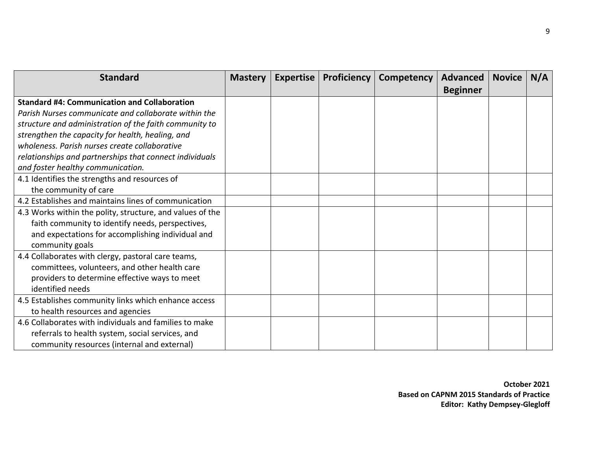| <b>Standard</b>                                           | <b>Mastery</b> | <b>Expertise</b> | Proficiency | <b>Competency</b> | Advanced        | <b>Novice</b> | N/A |
|-----------------------------------------------------------|----------------|------------------|-------------|-------------------|-----------------|---------------|-----|
|                                                           |                |                  |             |                   | <b>Beginner</b> |               |     |
| <b>Standard #4: Communication and Collaboration</b>       |                |                  |             |                   |                 |               |     |
| Parish Nurses communicate and collaborate within the      |                |                  |             |                   |                 |               |     |
| structure and administration of the faith community to    |                |                  |             |                   |                 |               |     |
| strengthen the capacity for health, healing, and          |                |                  |             |                   |                 |               |     |
| wholeness. Parish nurses create collaborative             |                |                  |             |                   |                 |               |     |
| relationships and partnerships that connect individuals   |                |                  |             |                   |                 |               |     |
| and foster healthy communication.                         |                |                  |             |                   |                 |               |     |
| 4.1 Identifies the strengths and resources of             |                |                  |             |                   |                 |               |     |
| the community of care                                     |                |                  |             |                   |                 |               |     |
| 4.2 Establishes and maintains lines of communication      |                |                  |             |                   |                 |               |     |
| 4.3 Works within the polity, structure, and values of the |                |                  |             |                   |                 |               |     |
| faith community to identify needs, perspectives,          |                |                  |             |                   |                 |               |     |
| and expectations for accomplishing individual and         |                |                  |             |                   |                 |               |     |
| community goals                                           |                |                  |             |                   |                 |               |     |
| 4.4 Collaborates with clergy, pastoral care teams,        |                |                  |             |                   |                 |               |     |
| committees, volunteers, and other health care             |                |                  |             |                   |                 |               |     |
| providers to determine effective ways to meet             |                |                  |             |                   |                 |               |     |
| identified needs                                          |                |                  |             |                   |                 |               |     |
| 4.5 Establishes community links which enhance access      |                |                  |             |                   |                 |               |     |
| to health resources and agencies                          |                |                  |             |                   |                 |               |     |
| 4.6 Collaborates with individuals and families to make    |                |                  |             |                   |                 |               |     |
| referrals to health system, social services, and          |                |                  |             |                   |                 |               |     |
| community resources (internal and external)               |                |                  |             |                   |                 |               |     |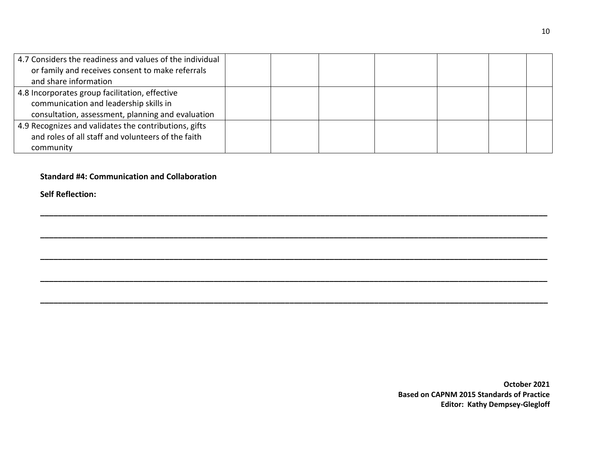| 4.7 Considers the readiness and values of the individual |  |  |  |  |
|----------------------------------------------------------|--|--|--|--|
| or family and receives consent to make referrals         |  |  |  |  |
| and share information                                    |  |  |  |  |
| 4.8 Incorporates group facilitation, effective           |  |  |  |  |
| communication and leadership skills in                   |  |  |  |  |
| consultation, assessment, planning and evaluation        |  |  |  |  |
| 4.9 Recognizes and validates the contributions, gifts    |  |  |  |  |
| and roles of all staff and volunteers of the faith       |  |  |  |  |
| community                                                |  |  |  |  |

**\_\_\_\_\_\_\_\_\_\_\_\_\_\_\_\_\_\_\_\_\_\_\_\_\_\_\_\_\_\_\_\_\_\_\_\_\_\_\_\_\_\_\_\_\_\_\_\_\_\_\_\_\_\_\_\_\_\_\_\_\_\_\_\_\_\_\_\_\_\_\_\_\_\_\_\_\_\_\_\_\_\_\_\_\_\_\_\_\_\_\_\_\_\_\_\_\_\_\_\_\_\_\_\_\_\_\_\_\_\_\_\_\_\_**

**\_\_\_\_\_\_\_\_\_\_\_\_\_\_\_\_\_\_\_\_\_\_\_\_\_\_\_\_\_\_\_\_\_\_\_\_\_\_\_\_\_\_\_\_\_\_\_\_\_\_\_\_\_\_\_\_\_\_\_\_\_\_\_\_\_\_\_\_\_\_\_\_\_\_\_\_\_\_\_\_\_\_\_\_\_\_\_\_\_\_\_\_\_\_\_\_\_\_\_\_\_\_\_\_\_\_\_\_\_\_\_\_\_\_**

**\_\_\_\_\_\_\_\_\_\_\_\_\_\_\_\_\_\_\_\_\_\_\_\_\_\_\_\_\_\_\_\_\_\_\_\_\_\_\_\_\_\_\_\_\_\_\_\_\_\_\_\_\_\_\_\_\_\_\_\_\_\_\_\_\_\_\_\_\_\_\_\_\_\_\_\_\_\_\_\_\_\_\_\_\_\_\_\_\_\_\_\_\_\_\_\_\_\_\_\_\_\_\_\_\_\_\_\_\_\_\_\_\_\_**

**\_\_\_\_\_\_\_\_\_\_\_\_\_\_\_\_\_\_\_\_\_\_\_\_\_\_\_\_\_\_\_\_\_\_\_\_\_\_\_\_\_\_\_\_\_\_\_\_\_\_\_\_\_\_\_\_\_\_\_\_\_\_\_\_\_\_\_\_\_\_\_\_\_\_\_\_\_\_\_\_\_\_\_\_\_\_\_\_\_\_\_\_\_\_\_\_\_\_\_\_\_\_\_\_\_\_\_\_\_\_\_\_\_\_**

**Standard #4: Communication and Collaboration**

**Self Reflection:**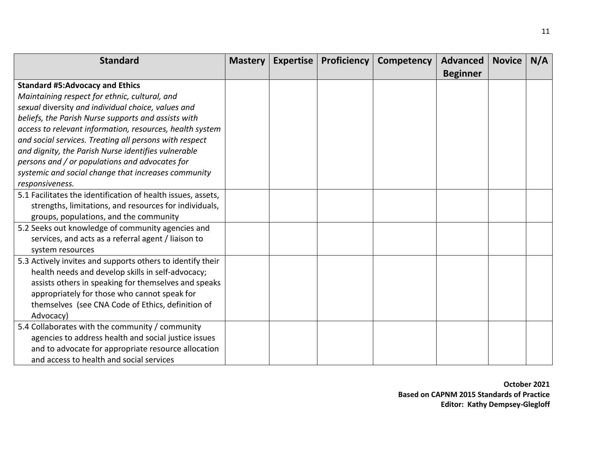| <b>Standard</b>                                              | <b>Mastery</b> | <b>Expertise</b> | <b>Proficiency</b> | <b>Competency</b> | <b>Advanced</b> | <b>Novice</b> | N/A |
|--------------------------------------------------------------|----------------|------------------|--------------------|-------------------|-----------------|---------------|-----|
|                                                              |                |                  |                    |                   | <b>Beginner</b> |               |     |
| <b>Standard #5:Advocacy and Ethics</b>                       |                |                  |                    |                   |                 |               |     |
| Maintaining respect for ethnic, cultural, and                |                |                  |                    |                   |                 |               |     |
| sexual diversity and individual choice, values and           |                |                  |                    |                   |                 |               |     |
| beliefs, the Parish Nurse supports and assists with          |                |                  |                    |                   |                 |               |     |
| access to relevant information, resources, health system     |                |                  |                    |                   |                 |               |     |
| and social services. Treating all persons with respect       |                |                  |                    |                   |                 |               |     |
| and dignity, the Parish Nurse identifies vulnerable          |                |                  |                    |                   |                 |               |     |
| persons and / or populations and advocates for               |                |                  |                    |                   |                 |               |     |
| systemic and social change that increases community          |                |                  |                    |                   |                 |               |     |
| responsiveness.                                              |                |                  |                    |                   |                 |               |     |
| 5.1 Facilitates the identification of health issues, assets, |                |                  |                    |                   |                 |               |     |
| strengths, limitations, and resources for individuals,       |                |                  |                    |                   |                 |               |     |
| groups, populations, and the community                       |                |                  |                    |                   |                 |               |     |
| 5.2 Seeks out knowledge of community agencies and            |                |                  |                    |                   |                 |               |     |
| services, and acts as a referral agent / liaison to          |                |                  |                    |                   |                 |               |     |
| system resources                                             |                |                  |                    |                   |                 |               |     |
| 5.3 Actively invites and supports others to identify their   |                |                  |                    |                   |                 |               |     |
| health needs and develop skills in self-advocacy;            |                |                  |                    |                   |                 |               |     |
| assists others in speaking for themselves and speaks         |                |                  |                    |                   |                 |               |     |
| appropriately for those who cannot speak for                 |                |                  |                    |                   |                 |               |     |
| themselves (see CNA Code of Ethics, definition of            |                |                  |                    |                   |                 |               |     |
| Advocacy)                                                    |                |                  |                    |                   |                 |               |     |
| 5.4 Collaborates with the community / community              |                |                  |                    |                   |                 |               |     |
| agencies to address health and social justice issues         |                |                  |                    |                   |                 |               |     |
| and to advocate for appropriate resource allocation          |                |                  |                    |                   |                 |               |     |
| and access to health and social services                     |                |                  |                    |                   |                 |               |     |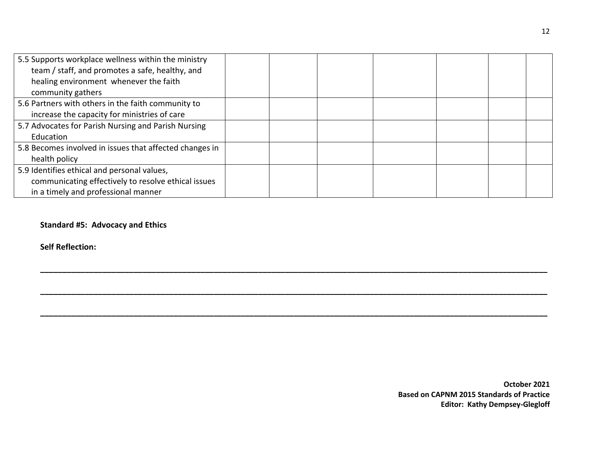| 5.5 Supports workplace wellness within the ministry     |  |  |  |  |
|---------------------------------------------------------|--|--|--|--|
| team / staff, and promotes a safe, healthy, and         |  |  |  |  |
| healing environment whenever the faith                  |  |  |  |  |
| community gathers                                       |  |  |  |  |
| 5.6 Partners with others in the faith community to      |  |  |  |  |
| increase the capacity for ministries of care            |  |  |  |  |
| 5.7 Advocates for Parish Nursing and Parish Nursing     |  |  |  |  |
| Education                                               |  |  |  |  |
| 5.8 Becomes involved in issues that affected changes in |  |  |  |  |
| health policy                                           |  |  |  |  |
| 5.9 Identifies ethical and personal values,             |  |  |  |  |
| communicating effectively to resolve ethical issues     |  |  |  |  |
| in a timely and professional manner                     |  |  |  |  |

**\_\_\_\_\_\_\_\_\_\_\_\_\_\_\_\_\_\_\_\_\_\_\_\_\_\_\_\_\_\_\_\_\_\_\_\_\_\_\_\_\_\_\_\_\_\_\_\_\_\_\_\_\_\_\_\_\_\_\_\_\_\_\_\_\_\_\_\_\_\_\_\_\_\_\_\_\_\_\_\_\_\_\_\_\_\_\_\_\_\_\_\_\_\_\_\_\_\_\_\_\_\_\_\_\_\_\_\_\_\_\_\_\_\_**

**\_\_\_\_\_\_\_\_\_\_\_\_\_\_\_\_\_\_\_\_\_\_\_\_\_\_\_\_\_\_\_\_\_\_\_\_\_\_\_\_\_\_\_\_\_\_\_\_\_\_\_\_\_\_\_\_\_\_\_\_\_\_\_\_\_\_\_\_\_\_\_\_\_\_\_\_\_\_\_\_\_\_\_\_\_\_\_\_\_\_\_\_\_\_\_\_\_\_\_\_\_\_\_\_\_\_\_\_\_\_\_\_\_\_**

### **Standard #5: Advocacy and Ethics**

**Self Reflection:**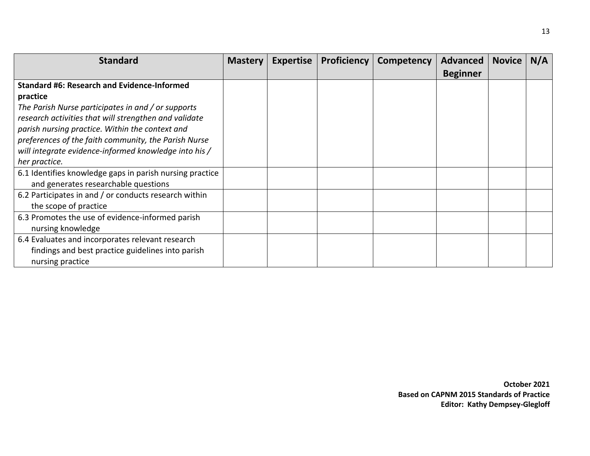| <b>Standard</b>                                          | <b>Mastery</b> | <b>Expertise</b> | <b>Proficiency</b> | Competency | Advanced        | <b>Novice</b> | N/A |
|----------------------------------------------------------|----------------|------------------|--------------------|------------|-----------------|---------------|-----|
|                                                          |                |                  |                    |            | <b>Beginner</b> |               |     |
| <b>Standard #6: Research and Evidence-Informed</b>       |                |                  |                    |            |                 |               |     |
| practice                                                 |                |                  |                    |            |                 |               |     |
| The Parish Nurse participates in and / or supports       |                |                  |                    |            |                 |               |     |
| research activities that will strengthen and validate    |                |                  |                    |            |                 |               |     |
| parish nursing practice. Within the context and          |                |                  |                    |            |                 |               |     |
| preferences of the faith community, the Parish Nurse     |                |                  |                    |            |                 |               |     |
| will integrate evidence-informed knowledge into his /    |                |                  |                    |            |                 |               |     |
| her practice.                                            |                |                  |                    |            |                 |               |     |
| 6.1 Identifies knowledge gaps in parish nursing practice |                |                  |                    |            |                 |               |     |
| and generates researchable questions                     |                |                  |                    |            |                 |               |     |
| 6.2 Participates in and / or conducts research within    |                |                  |                    |            |                 |               |     |
| the scope of practice                                    |                |                  |                    |            |                 |               |     |
| 6.3 Promotes the use of evidence-informed parish         |                |                  |                    |            |                 |               |     |
| nursing knowledge                                        |                |                  |                    |            |                 |               |     |
| 6.4 Evaluates and incorporates relevant research         |                |                  |                    |            |                 |               |     |
| findings and best practice guidelines into parish        |                |                  |                    |            |                 |               |     |
| nursing practice                                         |                |                  |                    |            |                 |               |     |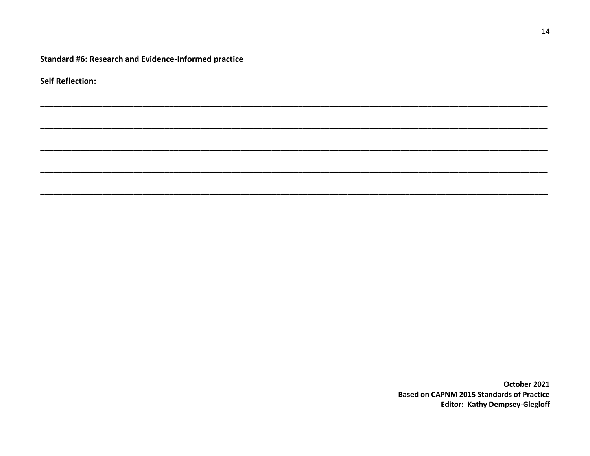Standard #6: Research and Evidence-Informed practice

**Self Reflection:**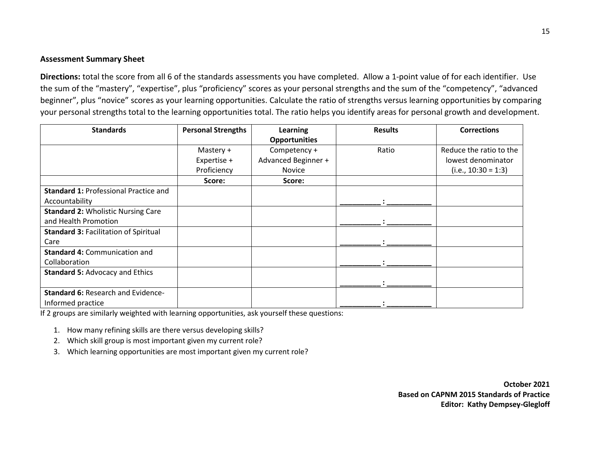#### **Assessment Summary Sheet**

**Directions:** total the score from all 6 of the standards assessments you have completed. Allow a 1-point value of for each identifier. Use the sum of the "mastery", "expertise", plus "proficiency" scores as your personal strengths and the sum of the "competency", "advanced beginner", plus "novice" scores as your learning opportunities. Calculate the ratio of strengths versus learning opportunities by comparing your personal strengths total to the learning opportunities total. The ratio helps you identify areas for personal growth and development.

| <b>Standards</b>                             | <b>Personal Strengths</b> | Learning             | <b>Results</b> | <b>Corrections</b>      |
|----------------------------------------------|---------------------------|----------------------|----------------|-------------------------|
|                                              |                           | <b>Opportunities</b> |                |                         |
|                                              | Mastery +                 | Competency +         | Ratio          | Reduce the ratio to the |
|                                              | Expertise +               | Advanced Beginner +  |                | lowest denominator      |
|                                              | Proficiency               | Novice               |                | $(i.e., 10:30 = 1:3)$   |
|                                              | Score:                    | Score:               |                |                         |
| <b>Standard 1: Professional Practice and</b> |                           |                      |                |                         |
| Accountability                               |                           |                      |                |                         |
| <b>Standard 2: Wholistic Nursing Care</b>    |                           |                      |                |                         |
| and Health Promotion                         |                           |                      |                |                         |
| <b>Standard 3: Facilitation of Spiritual</b> |                           |                      |                |                         |
| Care                                         |                           |                      |                |                         |
| <b>Standard 4: Communication and</b>         |                           |                      |                |                         |
| Collaboration                                |                           |                      |                |                         |
| <b>Standard 5: Advocacy and Ethics</b>       |                           |                      |                |                         |
|                                              |                           |                      |                |                         |
| <b>Standard 6: Research and Evidence-</b>    |                           |                      |                |                         |
| Informed practice                            |                           |                      |                |                         |

If 2 groups are similarly weighted with learning opportunities, ask yourself these questions:

1. How many refining skills are there versus developing skills?

2. Which skill group is most important given my current role?

3. Which learning opportunities are most important given my current role?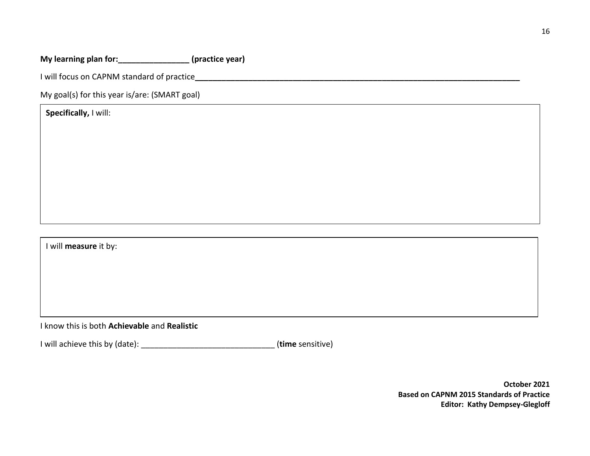## **My learning plan for:\_\_\_\_\_\_\_\_\_\_\_\_\_\_\_\_ (practice year)**

I will focus on CAPNM standard of practice**\_\_\_\_\_\_\_\_\_\_\_\_\_\_\_\_\_\_\_\_\_\_\_\_\_\_\_\_\_\_\_\_\_\_\_\_\_\_\_\_\_\_\_\_\_\_\_\_\_\_\_\_\_\_\_\_\_\_\_\_\_\_\_\_\_\_\_\_\_\_\_\_\_**

My goal(s) for this year is/are: (SMART goal)

**Specifically,** I will:

I will **measure** it by:

I know this is both **Achievable** and **Realistic**

I will achieve this by (date): \_\_\_\_\_\_\_\_\_\_\_\_\_\_\_\_\_\_\_\_\_\_\_\_\_\_\_\_\_\_ (**time** sensitive)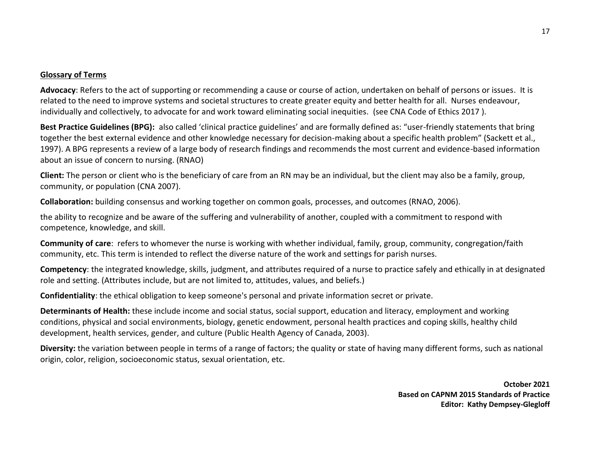#### **Glossary of Terms**

**Advocacy**: Refers to the act of supporting or recommending a cause or course of action, undertaken on behalf of persons or issues. It is related to the need to improve systems and societal structures to create greater equity and better health for all. Nurses endeavour, individually and collectively, to advocate for and work toward eliminating social inequities. (see CNA Code of Ethics 2017 ).

**Best Practice Guidelines (BPG):** also called 'clinical practice guidelines' and are formally defined as: "user-friendly statements that bring together the best external evidence and other knowledge necessary for decision-making about a specific health problem" (Sackett et al., 1997). A BPG represents a review of a large body of research findings and recommends the most current and evidence-based information about an issue of concern to nursing. (RNAO)

**Client:** The person or client who is the beneficiary of care from an RN may be an individual, but the client may also be a family, group, community, or population (CNA 2007).

**Collaboration:** building consensus and working together on common goals, processes, and outcomes (RNAO, 2006).

the ability to recognize and be aware of the suffering and vulnerability of another, coupled with a commitment to respond with competence, knowledge, and skill.

**Community of care**: refers to whomever the nurse is working with whether individual, family, group, community, congregation/faith community, etc. This term is intended to reflect the diverse nature of the work and settings for parish nurses.

**Competency**: the integrated knowledge, skills, judgment, and attributes required of a nurse to practice safely and ethically in at designated role and setting. (Attributes include, but are not limited to, attitudes, values, and beliefs.)

**Confidentiality**: the ethical obligation to keep someone's personal and private information secret or private.

**Determinants of Health:** these include income and social status, social support, education and literacy, employment and working conditions, physical and social environments, biology, genetic endowment, personal health practices and coping skills, healthy child development, health services, gender, and culture (Public Health Agency of Canada, 2003).

**Diversity:** the variation between people in terms of a range of factors; the quality or state of having many different forms, such as national origin, color, religion, socioeconomic status, sexual orientation, etc.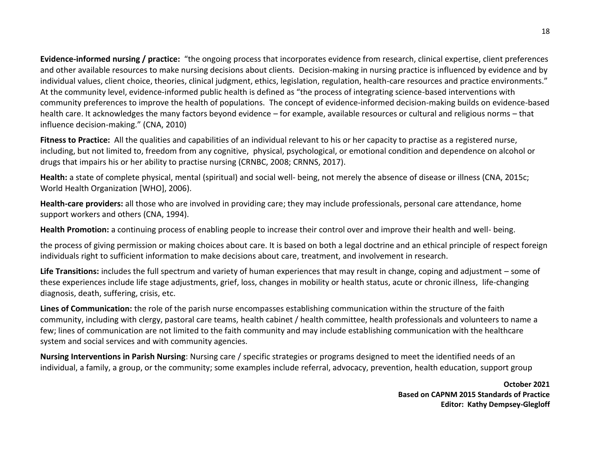**Evidence-informed nursing / practice:** "the ongoing process that incorporates evidence from research, clinical expertise, client preferences and other available resources to make nursing decisions about clients. Decision-making in nursing practice is influenced by evidence and by individual values, client choice, theories, clinical judgment, ethics, legislation, regulation, health-care resources and practice environments." At the community level, evidence-informed public health is defined as "the process of integrating science-based interventions with community preferences to improve the health of populations. The concept of evidence-informed decision-making builds on evidence-based health care. It acknowledges the many factors beyond evidence – for example, available resources or cultural and religious norms – that influence decision-making." (CNA, 2010)

**Fitness to Practice:** All the qualities and capabilities of an individual relevant to his or her capacity to practise as a registered nurse, including, but not limited to, freedom from any cognitive, physical, psychological, or emotional condition and dependence on alcohol or drugs that impairs his or her ability to practise nursing (CRNBC, 2008; CRNNS, 2017).

**Health:** a state of complete physical, mental (spiritual) and social well- being, not merely the absence of disease or illness (CNA, 2015c; World Health Organization [WHO], 2006).

**Health-care providers:** all those who are involved in providing care; they may include professionals, personal care attendance, home support workers and others (CNA, 1994).

**Health Promotion:** a continuing process of enabling people to increase their control over and improve their health and well- being.

the process of giving permission or making choices about care. It is based on both a legal doctrine and an ethical principle of respect foreign individuals right to sufficient information to make decisions about care, treatment, and involvement in research.

**Life Transitions:** includes the full spectrum and variety of human experiences that may result in change, coping and adjustment – some of these experiences include life stage adjustments, grief, loss, changes in mobility or health status, acute or chronic illness, life-changing diagnosis, death, suffering, crisis, etc.

**Lines of Communication:** the role of the parish nurse encompasses establishing communication within the structure of the faith community, including with clergy, pastoral care teams, health cabinet / health committee, health professionals and volunteers to name a few; lines of communication are not limited to the faith community and may include establishing communication with the healthcare system and social services and with community agencies.

**Nursing Interventions in Parish Nursing**: Nursing care / specific strategies or programs designed to meet the identified needs of an individual, a family, a group, or the community; some examples include referral, advocacy, prevention, health education, support group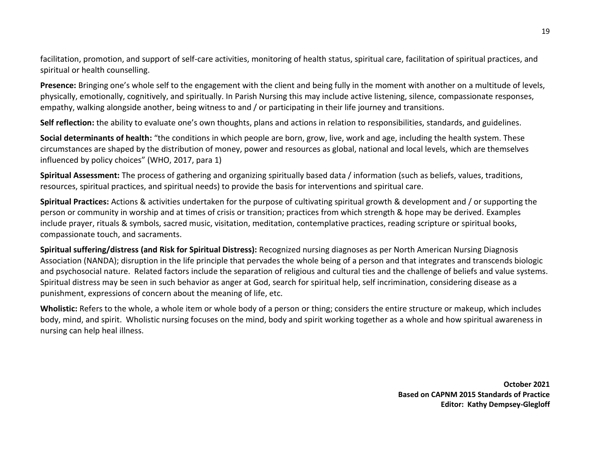facilitation, promotion, and support of self-care activities, monitoring of health status, spiritual care, facilitation of spiritual practices, and spiritual or health counselling.

**Presence:** Bringing one's whole self to the engagement with the client and being fully in the moment with another on a multitude of levels, physically, emotionally, cognitively, and spiritually. In Parish Nursing this may include active listening, silence, compassionate responses, empathy, walking alongside another, being witness to and / or participating in their life journey and transitions.

Self reflection: the ability to evaluate one's own thoughts, plans and actions in relation to responsibilities, standards, and guidelines.

**Social determinants of health:** "the conditions in which people are born, grow, live, work and age, including the health system. These circumstances are shaped by the distribution of money, power and resources as global, national and local levels, which are themselves influenced by policy choices" (WHO, 2017, para 1)

**Spiritual Assessment:** The process of gathering and organizing spiritually based data / information (such as beliefs, values, traditions, resources, spiritual practices, and spiritual needs) to provide the basis for interventions and spiritual care.

**Spiritual Practices:** Actions & activities undertaken for the purpose of cultivating spiritual growth & development and / or supporting the person or community in worship and at times of crisis or transition; practices from which strength & hope may be derived. Examples include prayer, rituals & symbols, sacred music, visitation, meditation, contemplative practices, reading scripture or spiritual books, compassionate touch, and sacraments.

**Spiritual suffering/distress (and Risk for Spiritual Distress):** Recognized nursing diagnoses as per North American Nursing Diagnosis Association (NANDA); disruption in the life principle that pervades the whole being of a person and that integrates and transcends biologic and psychosocial nature. Related factors include the separation of religious and cultural ties and the challenge of beliefs and value systems. Spiritual distress may be seen in such behavior as anger at God, search for spiritual help, self incrimination, considering disease as a punishment, expressions of concern about the meaning of life, etc.

**Wholistic:** Refers to the whole, a whole item or whole body of a person or thing; considers the entire structure or makeup, which includes body, mind, and spirit. Wholistic nursing focuses on the mind, body and spirit working together as a whole and how spiritual awareness in nursing can help heal illness.